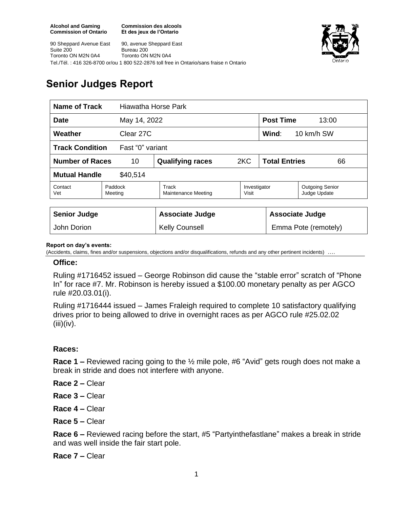**Commission des alcools Et des jeux de l'Ontario**



90 Sheppard Avenue East Suite 200 Toronto ON M2N 0A4 90, avenue Sheppard East Bureau 200 Toronto ON M2N 0A4 Tel./Tél. : 416 326-8700 or/ou 1 800 522-2876 toll free in Ontario/sans fraise n Ontario

# **Senior Judges Report**

| <b>Name of Track</b>                       |                    | Hiawatha Horse Park          |                       |                            |                                        |  |
|--------------------------------------------|--------------------|------------------------------|-----------------------|----------------------------|----------------------------------------|--|
| <b>Date</b><br>May 14, 2022                |                    |                              |                       | <b>Post Time</b><br>13:00  |                                        |  |
| Clear 27C<br>Weather                       |                    |                              |                       | Wind:<br>10 km/h SW        |                                        |  |
| <b>Track Condition</b><br>Fast "0" variant |                    |                              |                       |                            |                                        |  |
| <b>Number of Races</b><br>10               |                    | <b>Qualifying races</b>      | 2KC                   | <b>Total Entries</b><br>66 |                                        |  |
| <b>Mutual Handle</b><br>\$40,514           |                    |                              |                       |                            |                                        |  |
| Contact<br>Vet                             | Paddock<br>Meeting | Track<br>Maintenance Meeting | Investigator<br>Visit |                            | <b>Outgoing Senior</b><br>Judge Update |  |
|                                            |                    |                              |                       |                            |                                        |  |
| <b>Senior Judge</b>                        |                    | <b>Associate Judge</b>       |                       | <b>Associate Judge</b>     |                                        |  |
| John Dorion                                |                    | <b>Kelly Counsell</b>        |                       |                            | Emma Pote (remotely)                   |  |

#### **Report on day's events:**

(Accidents, claims, fines and/or suspensions, objections and/or disqualifications, refunds and any other pertinent incidents)

#### **Office:**

Ruling #1716452 issued – George Robinson did cause the "stable error" scratch of "Phone In" for race #7. Mr. Robinson is hereby issued a \$100.00 monetary penalty as per AGCO rule #20.03.01(i).

Ruling #1716444 issued – James Fraleigh required to complete 10 satisfactory qualifying drives prior to being allowed to drive in overnight races as per AGCO rule #25.02.02  $(iii)(iv).$ 

### **Races:**

**Race 1 –** Reviewed racing going to the ½ mile pole, #6 "Avid" gets rough does not make a break in stride and does not interfere with anyone.

**Race 2 –** Clear

- **Race 3 –** Clear
- **Race 4 –** Clear
- **Race 5 –** Clear

**Race 6 –** Reviewed racing before the start, #5 "Partyinthefastlane" makes a break in stride and was well inside the fair start pole.

**Race 7 –** Clear